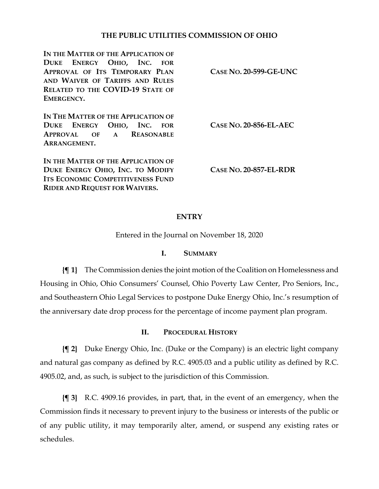# **THE PUBLIC UTILITIES COMMISSION OF OHIO**

**IN THE MATTER OF THE APPLICATION OF DUKE ENERGY OHIO, INC. FOR APPROVAL OF ITS TEMPORARY PLAN AND WAIVER OF TARIFFS AND RULES RELATED TO THE COVID-19 STATE OF EMERGENCY.**

**IN THE MATTER OF THE APPLICATION OF DUKE ENERGY OHIO, INC. FOR APPROVAL OF A REASONABLE ARRANGEMENT.**

**IN THE MATTER OF THE APPLICATION OF DUKE ENERGY OHIO, INC. TO MODIFY ITS ECONOMIC COMPETITIVENESS FUND RIDER AND REQUEST FOR WAIVERS.**

**CASE NO. 20-599-GE-UNC**

**CASE NO. 20-856-EL-AEC**

**CASE NO. 20-857-EL-RDR**

## **ENTRY**

Entered in the Journal on November 18, 2020

### **I. SUMMARY**

**{¶ 1}** The Commission denies the joint motion of the Coalition on Homelessness and Housing in Ohio, Ohio Consumers' Counsel, Ohio Poverty Law Center, Pro Seniors, Inc., and Southeastern Ohio Legal Services to postpone Duke Energy Ohio, Inc.'s resumption of the anniversary date drop process for the percentage of income payment plan program.

## **II. PROCEDURAL HISTORY**

**{¶ 2}** Duke Energy Ohio, Inc. (Duke or the Company) is an electric light company and natural gas company as defined by R.C. 4905.03 and a public utility as defined by R.C. 4905.02, and, as such, is subject to the jurisdiction of this Commission.

**{¶ 3}** R.C. 4909.16 provides, in part, that, in the event of an emergency, when the Commission finds it necessary to prevent injury to the business or interests of the public or of any public utility, it may temporarily alter, amend, or suspend any existing rates or schedules.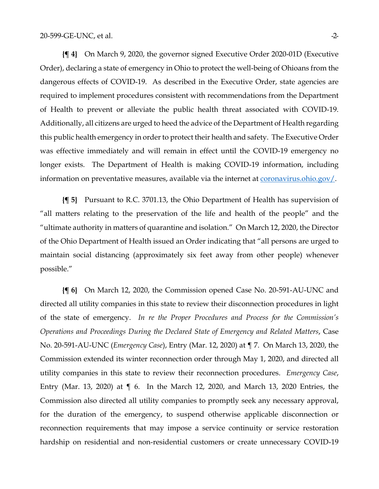**{¶ 4}** On March 9, 2020, the governor signed Executive Order 2020-01D (Executive Order), declaring a state of emergency in Ohio to protect the well-being of Ohioans from the dangerous effects of COVID-19. As described in the Executive Order, state agencies are required to implement procedures consistent with recommendations from the Department of Health to prevent or alleviate the public health threat associated with COVID-19. Additionally, all citizens are urged to heed the advice of the Department of Health regarding this public health emergency in order to protect their health and safety. The Executive Order was effective immediately and will remain in effect until the COVID-19 emergency no longer exists. The Department of Health is making COVID-19 information, including information on preventative measures, available via the internet at [coronavirus.ohio.gov/.](https://coronavirus.ohio.gov/)

**{¶ 5}** Pursuant to R.C. 3701.13, the Ohio Department of Health has supervision of "all matters relating to the preservation of the life and health of the people" and the "ultimate authority in matters of quarantine and isolation." On March 12, 2020, the Director of the Ohio Department of Health issued an Order indicating that "all persons are urged to maintain social distancing (approximately six feet away from other people) whenever possible."

**{¶ 6}** On March 12, 2020, the Commission opened Case No. 20-591-AU-UNC and directed all utility companies in this state to review their disconnection procedures in light of the state of emergency. *In re the Proper Procedures and Process for the Commission's Operations and Proceedings During the Declared State of Emergency and Related Matters*, Case No. 20-591-AU-UNC (*Emergency Case*), Entry (Mar. 12, 2020) at ¶ 7. On March 13, 2020, the Commission extended its winter reconnection order through May 1, 2020, and directed all utility companies in this state to review their reconnection procedures. *Emergency Case*, Entry (Mar. 13, 2020) at ¶ 6. In the March 12, 2020, and March 13, 2020 Entries, the Commission also directed all utility companies to promptly seek any necessary approval, for the duration of the emergency, to suspend otherwise applicable disconnection or reconnection requirements that may impose a service continuity or service restoration hardship on residential and non-residential customers or create unnecessary COVID-19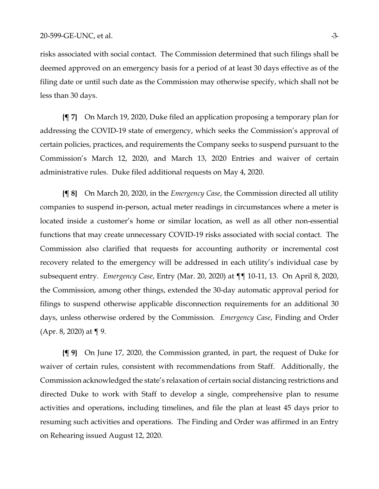risks associated with social contact. The Commission determined that such filings shall be deemed approved on an emergency basis for a period of at least 30 days effective as of the filing date or until such date as the Commission may otherwise specify, which shall not be less than 30 days.

**{¶ 7}** On March 19, 2020, Duke filed an application proposing a temporary plan for addressing the COVID-19 state of emergency, which seeks the Commission's approval of certain policies, practices, and requirements the Company seeks to suspend pursuant to the Commission's March 12, 2020, and March 13, 2020 Entries and waiver of certain administrative rules. Duke filed additional requests on May 4, 2020.

**{¶ 8}** On March 20, 2020, in the *Emergency Case*, the Commission directed all utility companies to suspend in-person, actual meter readings in circumstances where a meter is located inside a customer's home or similar location, as well as all other non-essential functions that may create unnecessary COVID-19 risks associated with social contact. The Commission also clarified that requests for accounting authority or incremental cost recovery related to the emergency will be addressed in each utility's individual case by subsequent entry. *Emergency Case*, Entry (Mar. 20, 2020) at ¶¶ 10-11, 13. On April 8, 2020, the Commission, among other things, extended the 30-day automatic approval period for filings to suspend otherwise applicable disconnection requirements for an additional 30 days, unless otherwise ordered by the Commission. *Emergency Case*, Finding and Order (Apr. 8, 2020) at ¶ 9.

**{¶ 9}** On June 17, 2020, the Commission granted, in part, the request of Duke for waiver of certain rules, consistent with recommendations from Staff. Additionally, the Commission acknowledged the state's relaxation of certain social distancing restrictions and directed Duke to work with Staff to develop a single, comprehensive plan to resume activities and operations, including timelines, and file the plan at least 45 days prior to resuming such activities and operations. The Finding and Order was affirmed in an Entry on Rehearing issued August 12, 2020.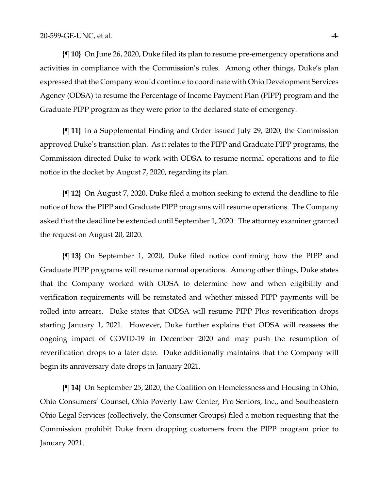**{¶ 10}** On June 26, 2020, Duke filed its plan to resume pre-emergency operations and activities in compliance with the Commission's rules. Among other things, Duke's plan expressed that the Company would continue to coordinate with Ohio Development Services Agency (ODSA) to resume the Percentage of Income Payment Plan (PIPP) program and the Graduate PIPP program as they were prior to the declared state of emergency.

**{¶ 11}** In a Supplemental Finding and Order issued July 29, 2020, the Commission approved Duke's transition plan. As it relates to the PIPP and Graduate PIPP programs, the Commission directed Duke to work with ODSA to resume normal operations and to file notice in the docket by August 7, 2020, regarding its plan.

**{¶ 12}** On August 7, 2020, Duke filed a motion seeking to extend the deadline to file notice of how the PIPP and Graduate PIPP programs will resume operations. The Company asked that the deadline be extended until September 1, 2020. The attorney examiner granted the request on August 20, 2020.

**{¶ 13}** On September 1, 2020, Duke filed notice confirming how the PIPP and Graduate PIPP programs will resume normal operations. Among other things, Duke states that the Company worked with ODSA to determine how and when eligibility and verification requirements will be reinstated and whether missed PIPP payments will be rolled into arrears. Duke states that ODSA will resume PIPP Plus reverification drops starting January 1, 2021. However, Duke further explains that ODSA will reassess the ongoing impact of COVID-19 in December 2020 and may push the resumption of reverification drops to a later date. Duke additionally maintains that the Company will begin its anniversary date drops in January 2021.

**{¶ 14}** On September 25, 2020, the Coalition on Homelessness and Housing in Ohio, Ohio Consumers' Counsel, Ohio Poverty Law Center, Pro Seniors, Inc., and Southeastern Ohio Legal Services (collectively, the Consumer Groups) filed a motion requesting that the Commission prohibit Duke from dropping customers from the PIPP program prior to January 2021.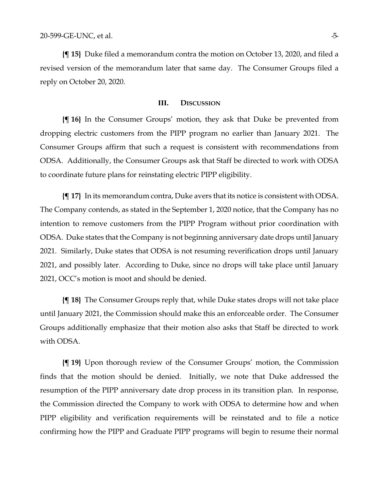**{¶ 15}** Duke filed a memorandum contra the motion on October 13, 2020, and filed a revised version of the memorandum later that same day. The Consumer Groups filed a reply on October 20, 2020.

#### **III. DISCUSSION**

**{¶ 16}** In the Consumer Groups' motion, they ask that Duke be prevented from dropping electric customers from the PIPP program no earlier than January 2021. The Consumer Groups affirm that such a request is consistent with recommendations from ODSA. Additionally, the Consumer Groups ask that Staff be directed to work with ODSA to coordinate future plans for reinstating electric PIPP eligibility.

**{¶ 17}** In its memorandum contra, Duke avers that its notice is consistent with ODSA. The Company contends, as stated in the September 1, 2020 notice, that the Company has no intention to remove customers from the PIPP Program without prior coordination with ODSA. Duke states that the Company is not beginning anniversary date drops until January 2021. Similarly, Duke states that ODSA is not resuming reverification drops until January 2021, and possibly later. According to Duke, since no drops will take place until January 2021, OCC's motion is moot and should be denied.

**{¶ 18}** The Consumer Groups reply that, while Duke states drops will not take place until January 2021, the Commission should make this an enforceable order. The Consumer Groups additionally emphasize that their motion also asks that Staff be directed to work with ODSA.

**{¶ 19}** Upon thorough review of the Consumer Groups' motion, the Commission finds that the motion should be denied. Initially, we note that Duke addressed the resumption of the PIPP anniversary date drop process in its transition plan. In response, the Commission directed the Company to work with ODSA to determine how and when PIPP eligibility and verification requirements will be reinstated and to file a notice confirming how the PIPP and Graduate PIPP programs will begin to resume their normal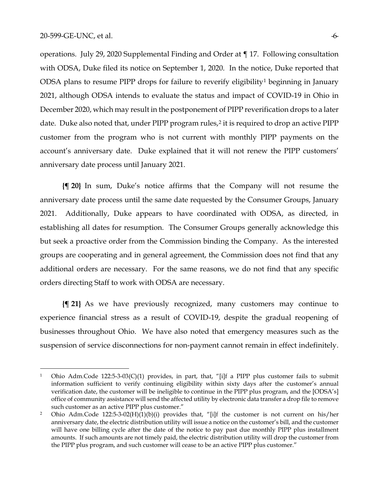operations. July 29, 2020 Supplemental Finding and Order at ¶ 17. Following consultation with ODSA, Duke filed its notice on September 1, 2020. In the notice, Duke reported that ODSA plans to resume PIPP drops for failure to reverify eligibility<sup>[1](#page-5-1)</sup> beginning in January 2021, although ODSA intends to evaluate the status and impact of COVID-19 in Ohio in December 2020, which may result in the postponement of PIPP reverification drops to a later date. Duke also noted that, under PIPP program rules,<sup>[2](#page-5-0)</sup> it is required to drop an active PIPP customer from the program who is not current with monthly PIPP payments on the account's anniversary date. Duke explained that it will not renew the PIPP customers' anniversary date process until January 2021.

**{¶ 20}** In sum, Duke's notice affirms that the Company will not resume the anniversary date process until the same date requested by the Consumer Groups, January 2021. Additionally, Duke appears to have coordinated with ODSA, as directed, in establishing all dates for resumption. The Consumer Groups generally acknowledge this but seek a proactive order from the Commission binding the Company. As the interested groups are cooperating and in general agreement, the Commission does not find that any additional orders are necessary. For the same reasons, we do not find that any specific orders directing Staff to work with ODSA are necessary.

**{¶ 21}** As we have previously recognized, many customers may continue to experience financial stress as a result of COVID-19, despite the gradual reopening of businesses throughout Ohio. We have also noted that emergency measures such as the suspension of service disconnections for non-payment cannot remain in effect indefinitely.

<span id="page-5-1"></span><sup>1</sup> Ohio Adm.Code 122:5-3-03(C)(1) provides, in part, that, "[i]f a PIPP plus customer fails to submit information sufficient to verify continuing eligibility within sixty days after the customer's annual verification date, the customer will be ineligible to continue in the PIPP plus program, and the [ODSA's] office of community assistance will send the affected utility by electronic data transfer a drop file to remove such customer as an active PIPP plus customer."

<span id="page-5-0"></span><sup>2</sup> Ohio Adm.Code 122:5-3-02(H)(1)(b)(i) provides that, "[i]f the customer is not current on his/her anniversary date, the electric distribution utility will issue a notice on the customer's bill, and the customer will have one billing cycle after the date of the notice to pay past due monthly PIPP plus installment amounts. If such amounts are not timely paid, the electric distribution utility will drop the customer from the PIPP plus program, and such customer will cease to be an active PIPP plus customer."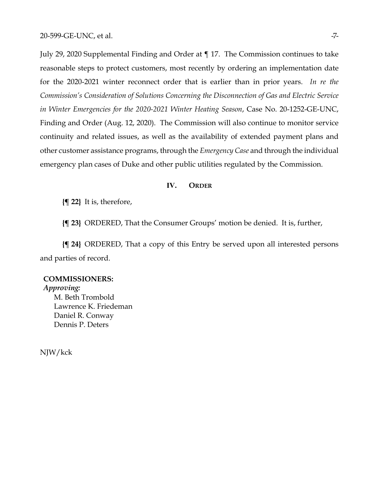July 29, 2020 Supplemental Finding and Order at ¶ 17. The Commission continues to take reasonable steps to protect customers, most recently by ordering an implementation date for the 2020-2021 winter reconnect order that is earlier than in prior years. *In re the Commission's Consideration of Solutions Concerning the Disconnection of Gas and Electric Service in Winter Emergencies for the 2020-2021 Winter Heating Season*, Case No. 20-1252-GE-UNC, Finding and Order (Aug. 12, 2020). The Commission will also continue to monitor service continuity and related issues, as well as the availability of extended payment plans and other customer assistance programs, through the *Emergency Case* and through the individual emergency plan cases of Duke and other public utilities regulated by the Commission.

#### **IV. ORDER**

**{¶ 22}** It is, therefore,

**{¶ 23}** ORDERED, That the Consumer Groups' motion be denied. It is, further,

**{¶ 24}** ORDERED, That a copy of this Entry be served upon all interested persons and parties of record.

### **COMMISSIONERS:**

*Approving:*  M. Beth Trombold Lawrence K. Friedeman Daniel R. Conway Dennis P. Deters

NJW/kck